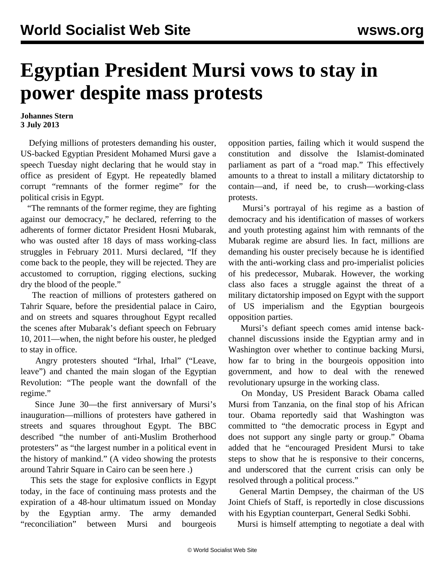## **Egyptian President Mursi vows to stay in power despite mass protests**

**Johannes Stern 3 July 2013**

 Defying millions of protesters demanding his ouster, US-backed Egyptian President Mohamed Mursi gave a speech Tuesday night declaring that he would stay in office as president of Egypt. He repeatedly blamed corrupt "remnants of the former regime" for the political crisis in Egypt.

 "The remnants of the former regime, they are fighting against our democracy," he declared, referring to the adherents of former dictator President Hosni Mubarak, who was ousted after 18 days of mass working-class struggles in February 2011. Mursi declared, "If they come back to the people, they will be rejected. They are accustomed to corruption, rigging elections, sucking dry the blood of the people."

 The reaction of millions of protesters gathered on Tahrir Square, before the presidential palace in Cairo, and on streets and squares throughout Egypt recalled the scenes after Mubarak's defiant speech on February 10, 2011—when, the night before his ouster, he pledged to stay in office.

 Angry protesters shouted "Irhal, Irhal" ("Leave, leave") and chanted the main slogan of the Egyptian Revolution: "The people want the downfall of the regime."

 Since June 30—the first anniversary of Mursi's inauguration—millions of protesters have gathered in streets and squares throughout Egypt. The BBC described "the number of anti-Muslim Brotherhood protesters" as "the largest number in a political event in the history of mankind." (A video showing the protests around Tahrir Square in Cairo can be seen [here](https://www.youtube.com/watch?v=Vux_-vJvHww&feature=youtube_gdata_player) .)

 This sets the stage for explosive conflicts in Egypt today, in the face of continuing mass protests and the expiration of a 48-hour ultimatum issued on Monday by the Egyptian army. The army demanded "reconciliation" between Mursi and bourgeois

opposition parties, failing which it would suspend the constitution and dissolve the Islamist-dominated parliament as part of a "road map." This effectively amounts to a threat to install a military dictatorship to contain—and, if need be, to crush—working-class protests.

 Mursi's portrayal of his regime as a bastion of democracy and his identification of masses of workers and youth protesting against him with remnants of the Mubarak regime are absurd lies. In fact, millions are demanding his ouster precisely because he is identified with the anti-working class and pro-imperialist policies of his predecessor, Mubarak. However, the working class also faces a struggle against the threat of a military dictatorship imposed on Egypt with the support of US imperialism and the Egyptian bourgeois opposition parties.

 Mursi's defiant speech comes amid intense backchannel discussions inside the Egyptian army and in Washington over whether to continue backing Mursi, how far to bring in the bourgeois opposition into government, and how to deal with the renewed revolutionary upsurge in the working class.

 On Monday, US President Barack Obama called Mursi from Tanzania, on the final stop of his African tour. Obama reportedly said that Washington was committed to "the democratic process in Egypt and does not support any single party or group." Obama added that he "encouraged President Mursi to take steps to show that he is responsive to their concerns, and underscored that the current crisis can only be resolved through a political process."

 General Martin Dempsey, the chairman of the US Joint Chiefs of Staff, is reportedly in close discussions with his Egyptian counterpart, General Sedki Sobhi.

Mursi is himself attempting to negotiate a deal with